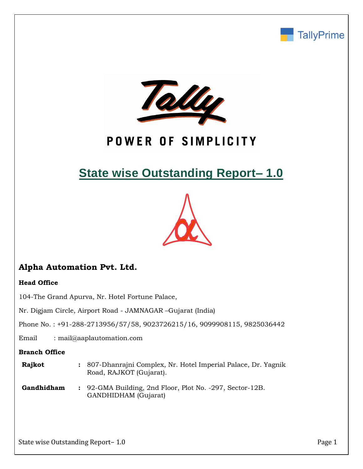



# POWER OF SIMPLICITY

# **State wise Outstanding Report– 1.0**



# **Alpha Automation Pvt. Ltd.**

## **Head Office**

104-The Grand Apurva, Nr. Hotel Fortune Palace,

Nr. Digjam Circle, Airport Road - JAMNAGAR –Gujarat (India)

Phone No. : +91-288-2713956/57/58, 9023726215/16, 9099908115, 9825036442

Email : mail@aaplautomation.com

### **Branch Office**

| Rajkot | : 807-Dhanrajni Complex, Nr. Hotel Imperial Palace, Dr. Yagnik |
|--------|----------------------------------------------------------------|
|        | Road, RAJKOT (Gujarat).                                        |

**Gandhidham :** 92-GMA Building, 2nd Floor, Plot No. -297, Sector-12B. GANDHIDHAM (Gujarat)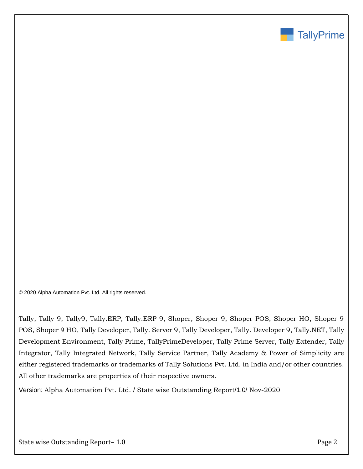

© 2020 Alpha Automation Pvt. Ltd. All rights reserved.

Tally, Tally 9, Tally9, Tally.ERP, Tally.ERP 9, Shoper, Shoper 9, Shoper POS, Shoper HO, Shoper 9 POS, Shoper 9 HO, Tally Developer, Tally. Server 9, Tally Developer, Tally. Developer 9, Tally.NET, Tally Development Environment, Tally Prime, TallyPrimeDeveloper, Tally Prime Server, Tally Extender, Tally Integrator, Tally Integrated Network, Tally Service Partner, Tally Academy & Power of Simplicity are either registered trademarks or trademarks of Tally Solutions Pvt. Ltd. in India and/or other countries. All other trademarks are properties of their respective owners.

Version: Alpha Automation Pvt. Ltd. / State wise Outstanding Report/1.0/ Nov-2020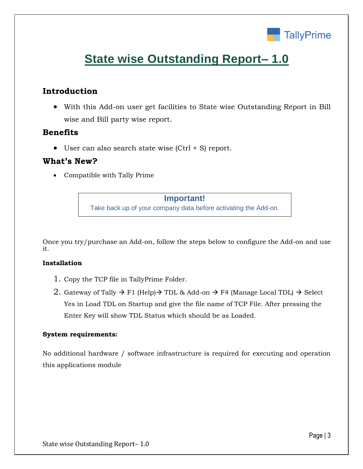

# **State wise Outstanding Report– 1.0**

## **Introduction**

• With this Add-on user get facilities to State wise Outstanding Report in Bill wise and Bill party wise report.

## **Benefits**

• User can also search state wise (Ctrl + S) report.

## **What's New?**

• Compatible with Tally Prime

## **Important!**

Take back up of your company data before activating the Add-on.

Once you try/purchase an Add-on, follow the steps below to configure the Add-on and use it.

### **Installation**

- 1. Copy the TCP file in TallyPrime Folder.
- 2. Gateway of Tally  $\rightarrow$  F1 (Help) $\rightarrow$  TDL & Add-on  $\rightarrow$  F4 (Manage Local TDL)  $\rightarrow$  Select Yes in Load TDL on Startup and give the file name of TCP File. After pressing the Enter Key will show TDL Status which should be as Loaded.

### **System requirements:**

No additional hardware / software infrastructure is required for executing and operation this applications module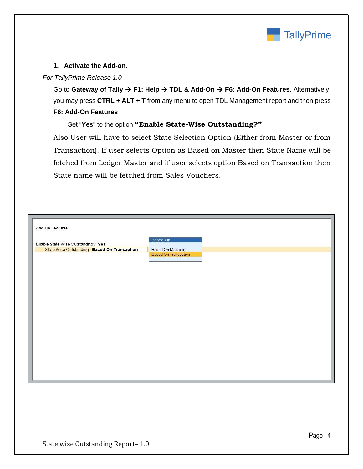

### **1. Activate the Add-on.**

### *For TallyPrime Release 1.0*

Go to **Gateway of Tally** → **F1: Help** → **TDL & Add-On** → **F6: Add-On Features**. Alternatively, you may press **CTRL + ALT + T** from any menu to open TDL Management report and then press **F6: Add-On Features**

## Set "**Yes**" to the option **"Enable State-Wise Outstanding?"**

Also User will have to select State Selection Option (Either from Master or from Transaction). If user selects Option as Based on Master then State Name will be fetched from Ledger Master and if user selects option Based on Transaction then State name will be fetched from Sales Vouchers.

| <b>Add-On Features</b>                                                                                                                                   |
|----------------------------------------------------------------------------------------------------------------------------------------------------------|
| Based On<br>Enable State-Wise Outstanding? Yes<br>State Wise Outstanding: Based On Transaction<br><b>Based On Masters</b><br><b>Based On Transaction</b> |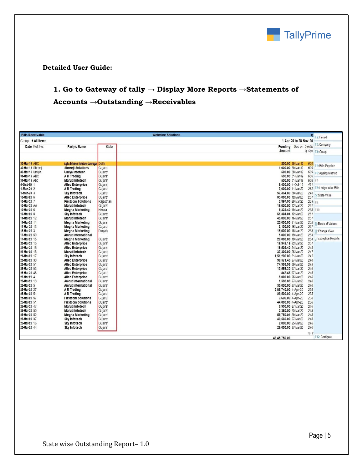

#### **Detailed User Guide:**

# **1. Go to Gateway of tally → Display More Reports →Statements of Accounts →Outstanding →Receivables**

| <b>Bills Receivable</b> |                                   |              | <b>Webmine Solutions</b> | $\mathbf{x}$ | Period                |
|-------------------------|-----------------------------------|--------------|--------------------------|--------------|-----------------------|
| Group: + All Items      |                                   |              | 1-Apr-20 to 28-Nov-20    |              |                       |
| Date Ref. No.           | Party's Name                      | <b>State</b> | Pending Due on Overdue   |              | F3: Company           |
|                         |                                   |              | Amount                   | by days      | F4: Group             |
|                         |                                   |              |                          |              |                       |
| 30-Mar-19 ABC           | Alpha Infotech Solutions-Jamnagar | Delhi        | 200.00 30-Mar-19         | 609          | 5: Bills Payable      |
| 30-Mar-19 Shreeji       | <b>Shreeji Solutions</b>          | Gujarat      | 1,000.00 30-Mar-19       | 609          |                       |
| 30-Mar-19 Umiya         | Umiya Infotech                    | Gujarat      | 500.00 30-Mar-19         | 609          | F6: Ageing Method     |
| 31-Mar-19 ABC           | A R Trading                       | Gujarat      | 500.00 31-Mar-19         | 608          |                       |
| 31-Mar-19 Abc           | Maruti Infotech                   | Gujarat      | 500.00 31-Mar-19         | 608 F7       |                       |
| 4-Dct-19 1              | <b>Allec Enterprice</b>           | Gujarat      | 6,400.00 4-Oct-19        | 421          | F8: Ledger-wise Bills |
| 1-Mar-20 2              | <b>AR Trading</b>                 | Gujarat      | 7,000.00 11-Mar-20       | 262          |                       |
| 1-Mar-20 3              | Sky Infotech                      | Gujarat      | 57,364.80 30-Mar-20      | 243          | State-Wise            |
| 10-Mar-20 6             | <b>Allec Enterprice</b>           | Gujarat      | 35,000.00 12-Mar-20      | 261          |                       |
| 10-Mar-20 7             | <b>Firstcom Solutions</b>         | Rajasthan    | 2,897.00 20-Mar-20       | $253$ Fq     |                       |
| 10-Mar-20 AA            | Maruti Infotech                   | Guiarat      | 16,000.00 12-Mar-20      | 261          |                       |
| 10-Mar-20 6             | <b>Megha Marketing</b>            | Kerala       | 8,333.40 10-Mar-20       | 263 F10      |                       |
| 10-Mar-20 8             | <b>Sky Infotech</b>               | Gujarat      | 51,384.04 12-Mar-20      | 261          |                       |
| 11-Mar-20 12            | Maruti Infotech                   | Gujarat      | 45,000.00 16-Mar-20      | 257          |                       |
| 11-Mar-20 11            | <b>Megha Marketing</b>            | Gujarat      | 25,000.00 21-Mar-20      | 252          | Basis of Values       |
| 11-Mar-20 13            | <b>Megha Marketing</b>            | Guiarat      | 3,100.00 16-Mar-20       | 257          |                       |
| 15-Mar-20 3             | <b>Megha Marketing</b>            | Punjab       | 15,000.00 15-Mar-20      | 258          | <b>H: Change View</b> |
| 17-Mar-20 50            | <b>Amrut International</b>        |              | 5,000.00 19-Mar-20       | 254          |                       |
| 17-Mar-20 15            | <b>Megha Marketing</b>            | Gujarat      | 29,000.00 19-Mar-20      | 254          | : Exception Reports   |
| 20-Mar-20 15            | <b>Allec Enterprice</b>           | Gujarat      | 16,949.16 22-Mar-20      | 251          |                       |
| 21-Mar-20 16            | <b>Allec Enterprice</b>           | Gujarat      | 18,502.40 24-Mar-20      | 249          |                       |
| 21-Mar-20 18            | Maruti Infotech                   | Gujarat      | 37,300.00 26-Mar-20      | 247          |                       |
| 21-Mar-20 17            | <b>Sky Infotech</b>               | Gujarat      | 1,51,200.00 31-Mar-20    | 242          |                       |
| 25-Mar-20 30            | <b>Allec Enterprice</b>           | Gujarat      | 98,571.43 27-Mar-20      | 246          |                       |
| 25-Mar-20 51            | <b>Allec Enterprice</b>           | Gujarat      | 74,999.99 30-Mar-20      | 243          |                       |
| 25-Mar-20 53            | <b>Allec Enterprice</b>           | Gujarat      | 13,559.30 27-Mar-20      | 246          |                       |
| 25-Mar-20 48            | <b>Allec Enterprice</b>           | Gujarat      | 847.46 27-Mar-20         | 246          |                       |
| 25-Mar-20 4             | <b>Allec Enterprice</b>           | Gujarat      | 5,000.00 25-Mar-20       | 248          |                       |
| 25-Mar-20 13            | <b>Amrut International</b>        | Gujarat      | 1.500.00 27-Mar-20       | 246          |                       |
| 25-Mar-20 5             | <b>Amrut International</b>        | Gujarat      | 35.000.00 27-Mar-20      | 246          |                       |
| 25-Mar-20 27            | <b>AR Trading</b>                 | Gujarat      | 3,88,740.00 4-Apr-20     | 238          |                       |
| 25-Mar-20 51            | A R Trading                       | Gujarat      | 29,500.00 4-Apr-20       | 238          |                       |
| 25-Mar-20 57            | <b>Firstcom Solutions</b>         | Gujarat      | 3,600.00 4-Apr-20        | 238          |                       |
| 25-Mar-20 51            | <b>Firstcom Solutions</b>         | Gujarat      | 44,800.00 4-Apr-20       | 238          |                       |
| 25-Mar-20 47            | Maruti Infotech                   | Gujarat      | 5,900.00 27-Mar-20       | 246          |                       |
| 25-Mar-20 50            | Maruti Infotech                   | Gujarat      | 2.360.00 25-Mar-20       | 248          |                       |
| 25-Mar-20 52            | <b>Megha Marketing</b>            | Gujarat      | 59,750.01 30-Mar-20      | 243          |                       |
| 25-Mar-20 37            | <b>Sky Infotech</b>               | Gujarat      | 49,560.00 27-Mar-20      | 246          |                       |
| 25-Mar-20 16            | <b>Sky Infotech</b>               | Gujarat      | 2,000.00 25-Mar-20       | 248          |                       |
| 25-Mar-20 44            | <b>Sky Infotech</b>               | Gujarat      | 26,000.00 27-Mar-20      | 246          |                       |
|                         |                                   |              |                          | 79 W         |                       |
|                         |                                   |              | 43.45.750.03             |              | F12: Configure        |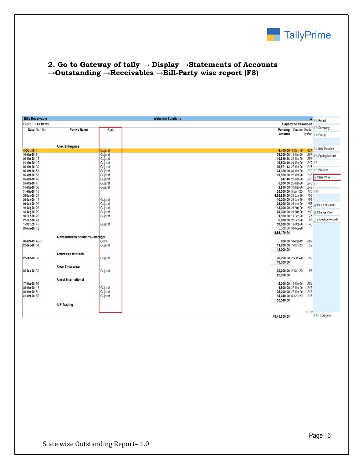

## **2. Go to Gateway of tally → Display →Statements of Accounts →Outstanding →Receivables →Bill-Party wise report (F8)**

| <b>Bills Receivable</b> |                                   |              | <b>Webmine Solutions</b> | $\mathsf{x}$    | F <sub>2</sub> : Period   |
|-------------------------|-----------------------------------|--------------|--------------------------|-----------------|---------------------------|
| Group: • All Items      |                                   |              | 1-Apr-20 to 28-Nov-20    |                 |                           |
| Date Ref. No.           | Party's Name                      | <b>State</b> | Pending Due on Overdue   |                 | F3: Company               |
|                         |                                   |              | Amount                   |                 | by days F4: Group         |
|                         |                                   |              |                          |                 |                           |
|                         | <b>Allec Enterprice</b>           |              |                          |                 |                           |
| 4-Oct-19 1              |                                   | Gujarat      | 6,400.00 4-Oct-19        | 42 <sup>1</sup> | F5: Bills Payable         |
| 10-Mar-20 6             |                                   | Gujarat      | 35,000.00 12-Mar-20      | 261             | F6: Ageing Method         |
| 20-Mar-20 15            |                                   | Gujarat      | 16.949.16 22-Mar-20      | 251             |                           |
| 21-Mar-20 16            |                                   | Gujarat      | 18.502.40 24-Mar-20      | 249 F7          |                           |
| 25-Mar-20 30            |                                   | Gujarat      | 98.571.43 27-Mar-20      | 246             |                           |
| 25-Mar-20 51            |                                   | Gujarat      | 74.999.99 30-Mar-20      | 243             | F8: Bill-wise             |
| 25-Mar-20 53            |                                   | Gujarat      | 13,559.30 27-Mar-20      | 246             |                           |
| 25-Mar-20 48            |                                   | Gujarat      | 847.46 27-Mar-20         | 246             | : State-Wise              |
| 25-Mar-20 4             |                                   | Gujarat      | 5,000.00 25-Mar-20       | 248 $F9$        |                           |
| 31-Mar-20 56            |                                   | Gujarat      | 2,950.00 31-Mar-20       | 242             |                           |
| 31-May-20 10            |                                   |              | 25,000.00 5-Jun-20       | 176 F10         |                           |
| 20-Jun-20 24            |                                   |              | 4,58,820.00 25-Jun-20    | 156             |                           |
| 20-Jun-20 18            |                                   | Guiarat      | 10.200.00 25-Jun-20      | 156             |                           |
| 20-Jun-20 20            |                                   | Gujarat      | 24,000.00 25-Jun-20      | 156             | <b>B: Basis of Values</b> |
| 10-Aug-20 23            |                                   | Guiarat      | 13,600.00 20-Aug-20      | 100             |                           |
| 15-Aug-20 26            |                                   | Gujarat      | 23,600.00 20-Aug-20      | 100             | H: Change View            |
| 18-Sep-20 28            |                                   | Gujarat      | 1,180.00 18-Sep-20       | 71              |                           |
| 22-Sep-20 41            |                                   |              | 5,000.00 22-Sep-20       | 67              | J: Exception Reports      |
| 1-Oct-20 45             |                                   | Gujarat      | 59,000.00 11-Oct-20      | 48              |                           |
| 28-Nov-20 42            |                                   |              | 5,000.00 30-Nov-20       |                 |                           |
|                         |                                   |              | 8,98,179.74              |                 |                           |
|                         | Alpha Infotech Solutions-Jamragar |              |                          |                 |                           |
| 30-Mar-19 ABC           |                                   | Delhi        | 200.00 30-Mar-19         | 609             |                           |
| 22-Sep-20 34            |                                   | Gujarat      | 11,800.00 7-Oct-20       | 52              |                           |
|                         |                                   |              | 12,000.00                |                 |                           |
|                         | Amardeep Infotech                 |              |                          |                 |                           |
| 22-Sep-20 38            |                                   | Gujarat      | 10,000.00 27-Sep-20      | 62              |                           |
|                         |                                   |              | 10.000.00                |                 |                           |
|                         | <b>Amar Enterprise</b>            |              |                          |                 |                           |
| 22-Sep-20 39            |                                   | Gujarat      | 22,000.00 2-Oct-20       | 57              |                           |
|                         |                                   |              |                          |                 |                           |
|                         |                                   |              | 22,000.00                |                 |                           |
|                         | <b>Amrut International</b>        |              |                          |                 |                           |
| 17-Mar-20 50            |                                   |              | 5,000.00 19-Mar-20       | 254             |                           |
| 25-Mar-20 13            |                                   | Gujarat      | 1,500.00 27-Mar-20       | 246             |                           |
| 25-Mar-20 5             |                                   | Gujarat      | 35,000.00 27-Mar-20      | 246             |                           |
| 31-Mar-20 55            |                                   | Gujarat      | 14,040.00 5-Apr-20       | 237             |                           |
|                         |                                   |              | 55,540.00                |                 |                           |
|                         | A R Trading                       |              |                          |                 |                           |
|                         |                                   |              | $132 \times$             |                 |                           |
|                         |                                   |              | 43.45.750.03             |                 | F12: Configure            |
|                         |                                   |              |                          |                 |                           |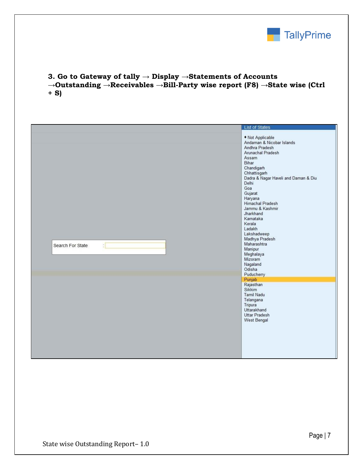

## **3. Go to Gateway of tally → Display →Statements of Accounts →Outstanding →Receivables →Bill-Party wise report (F8) →State wise (Ctrl + S)**

|                                   | <b>List of States</b>                                                                                                                                                                                                                                                                                                                                                                                                                                                                                                                                |
|-----------------------------------|------------------------------------------------------------------------------------------------------------------------------------------------------------------------------------------------------------------------------------------------------------------------------------------------------------------------------------------------------------------------------------------------------------------------------------------------------------------------------------------------------------------------------------------------------|
| $\frac{1}{2}$<br>Search For State | • Not Applicable<br>Andaman & Nicobar Islands<br>Andhra Pradesh<br>Arunachal Pradesh<br>Assam<br>Bihar<br>Chandigarh<br>Chhattisgarh<br>Dadra & Nagar Haveli and Daman & Diu<br>Delhi<br>Goa<br>Gujarat<br>Haryana<br>Himachal Pradesh<br>Jammu & Kashmir<br>Jharkhand<br>Karnataka<br>Kerala<br>Ladakh<br>Lakshadweep<br>Madhya Pradesh<br>Maharashtra<br>Manipur<br>Meghalaya<br>Mizoram<br>Nagaland<br>Odisha<br>Puducherry<br>Punjab<br>Rajasthan<br>Sikkim<br>Tamil Nadu<br>Telangana<br>Tripura<br>Uttarakhand<br>Uttar Pradesh<br>West Bengal |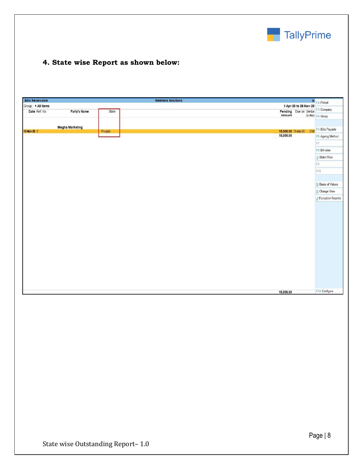

## **4. State wise Report as shown below:**

| <b>Bills Receivable</b> |                        |        | <b>Webmine Solutions</b>                                                  | X F2: Period              |
|-------------------------|------------------------|--------|---------------------------------------------------------------------------|---------------------------|
| Group: • All Items      |                        |        | 1-Apr-20 to 28-Nov-20                                                     |                           |
| Date Ref. No.           | Party's Name           | State  | <b>Pending</b> Due on Overdue F3: Company<br><b>Amount</b> <i>by days</i> |                           |
|                         |                        |        |                                                                           | by days F4: Group         |
|                         |                        |        |                                                                           |                           |
| 15-Mar-20 3             | <b>Megha Marketing</b> | Punjab | 15,000.00 15-Mar-20 258                                                   | F5: Bills Payable         |
|                         |                        |        | 15,000.00                                                                 | F6: Ageing Method         |
|                         |                        |        |                                                                           | F7                        |
|                         |                        |        |                                                                           | F8: Bill-wise             |
|                         |                        |        |                                                                           | S: State-Wise             |
|                         |                        |        |                                                                           | F9                        |
|                         |                        |        |                                                                           | F10                       |
|                         |                        |        |                                                                           |                           |
|                         |                        |        |                                                                           | <b>B:</b> Basis of Values |
|                         |                        |        |                                                                           | <b>H</b> : Change View    |
|                         |                        |        |                                                                           | J: Exception Reports      |
|                         |                        |        |                                                                           |                           |
|                         |                        |        |                                                                           |                           |
|                         |                        |        |                                                                           |                           |
|                         |                        |        |                                                                           |                           |
|                         |                        |        |                                                                           |                           |
|                         |                        |        |                                                                           |                           |
|                         |                        |        |                                                                           |                           |
|                         |                        |        |                                                                           |                           |
|                         |                        |        |                                                                           |                           |
|                         |                        |        |                                                                           |                           |
|                         |                        |        |                                                                           |                           |
|                         |                        |        |                                                                           |                           |
|                         |                        |        | 15,000.00                                                                 | F12: Configure            |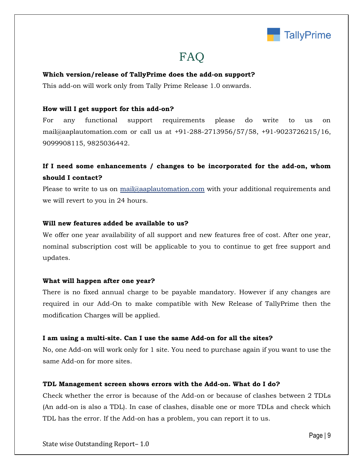

# FAQ

#### **Which version/release of TallyPrime does the add-on support?**

This add-on will work only from Tally Prime Release 1.0 onwards.

#### **How will I get support for this add-on?**

For any functional support requirements please do write to us on mail@aaplautomation.com or call us at +91-288-2713956/57/58, +91-9023726215/16, 9099908115, 9825036442.

## **If I need some enhancements / changes to be incorporated for the add-on, whom should I contact?**

Please to write to us on mail@aaplautomation.com with your additional requirements and we will revert to you in 24 hours.

#### **Will new features added be available to us?**

We offer one year availability of all support and new features free of cost. After one year, nominal subscription cost will be applicable to you to continue to get free support and updates.

#### **What will happen after one year?**

There is no fixed annual charge to be payable mandatory. However if any changes are required in our Add-On to make compatible with New Release of TallyPrime then the modification Charges will be applied.

#### **I am using a multi-site. Can I use the same Add-on for all the sites?**

No, one Add-on will work only for 1 site. You need to purchase again if you want to use the same Add-on for more sites.

#### **TDL Management screen shows errors with the Add-on. What do I do?**

Check whether the error is because of the Add-on or because of clashes between 2 TDLs (An add-on is also a TDL). In case of clashes, disable one or more TDLs and check which TDL has the error. If the Add-on has a problem, you can report it to us.